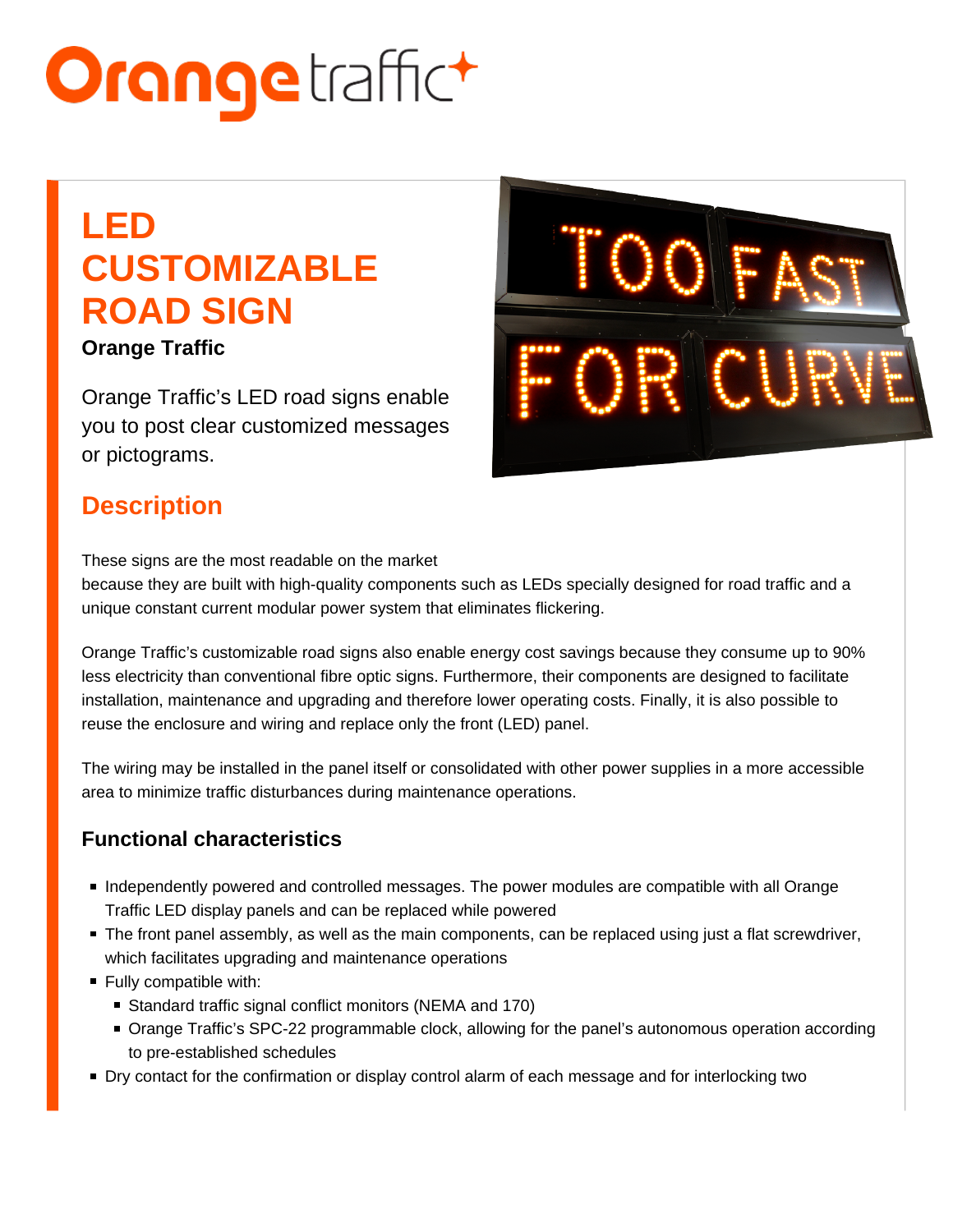# LED **CUSTOMIZABLE** ROAD SIGN

Orange Traffic

Orange Traffic's LED road signs enable you to post clear customized messages or pictograms.

## **Description**

These signs are the most readable on the market

because they are built with high-quality components such as LEDs specially designed for road traffic and a unique constant current modular power system that eliminates flickering.

Orange Traffic's customizable road signs also enable energy cost savings because they consume up to 90% less electricity than conventional fibre optic signs. Furthermore, their components are designed to facilitate installation, maintenance and upgrading and therefore lower operating costs. Finally, it is also possible to reuse the enclosure and wiring and replace only the front (LED) panel.

The wiring may be installed in the panel itself or consolidated with other power supplies in a more accessible area to minimize traffic disturbances during maintenance operations.

#### Functional characteristics

- **Independently powered and controlled messages. The power modules are compatible with all Orange** Traffic LED display panels and can be replaced while powered
- The front panel assembly, as well as the main components, can be replaced using just a flat screwdriver, which facilitates upgrading and maintenance operations
- **Fully compatible with:** 
	- Standard traffic signal conflict monitors (NEMA and 170)
	- Orange Traffic's SPC-22 programmable clock, allowing for the panel's autonomous operation according to pre-established schedules
- **Dry contact for the confirmation or display control alarm of each message and for interlocking two**